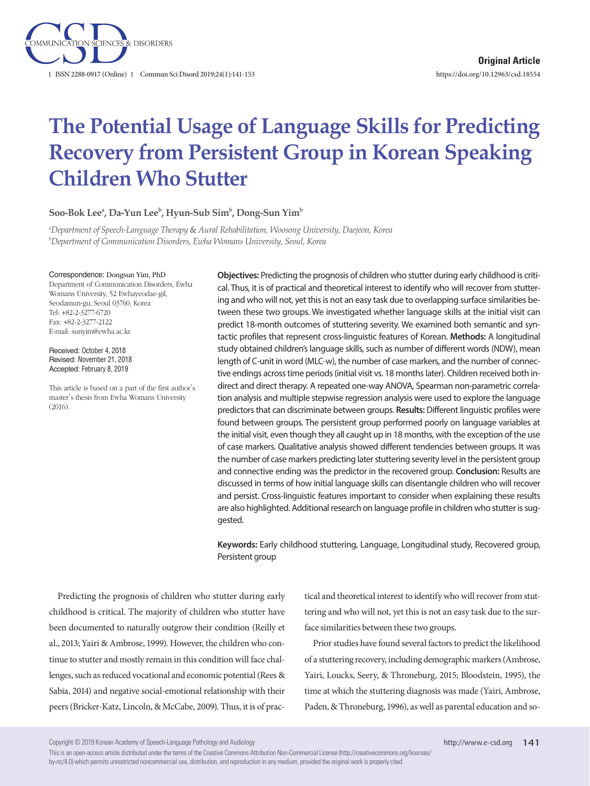

# **The Potential Usage of Language Skills for Predicting Recovery from Persistent Group in Korean Speaking Children Who Stutter**

#### $\mathbf{Soo\text{-}Bok}\ \mathbf{Lee}^{\mathsf{a}}, \mathbf{Da\text{-}Yun}\ \mathbf{Lee}^{\mathsf{b}}, \mathbf{Hyun\text{-}Sub}\ \mathbf{Sim}^{\mathsf{b}}, \mathbf{Dong\text{-}Sun}\ \mathbf{Yim}^{\mathsf{b}}$

*a Department of Speech-Language Therapy* & *Aural Rehabilitation, Woosong University, Daejeon, Korea b Department of Communication Disorders, Ewha Womans University, Seoul, Korea*

#### Correspondence: Dongsun Yim, PhD

Department of Communication Disorders, Ewha Womans University, 52 Ewhayeodae-gil, Seodamun-gu, Seoul 03760, Korea Tel: +82-2-3277-6720 Fax: +82-2-3277-2122 E-mail: sunyim@ewha.ac.kr

Received: October 4, 2018 Revised: November 21, 2018 Accepted: February 8, 2019

This article is based on a part of the first author's master's thesis from Ewha Womans University  $(2016)$ 

**Objectives:** Predicting the prognosis of children who stutter during early childhood is critical. Thus, it is of practical and theoretical interest to identify who will recover from stuttering and who will not, yet this is not an easy task due to overlapping surface similarities between these two groups. We investigated whether language skills at the initial visit can predict 18-month outcomes of stuttering severity. We examined both semantic and syntactic profiles that represent cross-linguistic features of Korean. **Methods:** A longitudinal study obtained children's language skills, such as number of different words (NDW), mean length of C-unit in word (MLC-w), the number of case markers, and the number of connective endings across time periods (initial visit vs. 18 months later). Children received both indirect and direct therapy. A repeated one-way ANOVA, Spearman non-parametric correlation analysis and multiple stepwise regression analysis were used to explore the language predictors that can discriminate between groups. **Results:** Different linguistic profiles were found between groups. The persistent group performed poorly on language variables at the initial visit, even though they all caught up in 18 months, with the exception of the use of case markers. Qualitative analysis showed different tendencies between groups. It was the number of case markers predicting later stuttering severity level in the persistent group and connective ending was the predictor in the recovered group. **Conclusion:** Results are discussed in terms of how initial language skills can disentangle children who will recover and persist. Cross-linguistic features important to consider when explaining these results are also highlighted. Additional research on language profile in children who stutter is suggested.

**Keywords:** Early childhood stuttering, Language, Longitudinal study, Recovered group, Persistent group

Predicting the prognosis of children who stutter during early childhood is critical. The majority of children who stutter have been documented to naturally outgrow their condition (Reilly et al., 2013; Yairi & Ambrose, 1999). However, the children who continue to stutter and mostly remain in this condition will face challenges, such as reduced vocational and economic potential (Rees & Sabia, 2014) and negative social-emotional relationship with their peers (Bricker-Katz, Lincoln, & McCabe, 2009). Thus, it is of practical and theoretical interest to identify who will recover from stuttering and who will not, yet this is not an easy task due to the surface similarities between these two groups.

Prior studies have found several factors to predict the likelihood of a stuttering recovery, including demographic markers (Ambrose, Yairi, Loucks, Seery, & Throneburg, 2015; Bloodstein, 1995), the time at which the stuttering diagnosis was made (Yairi, Ambrose, Paden, & Throneburg, 1996), as well as parental education and so-

Copyright © 2019 Korean Academy of Speech-Language Pathology and Audiology

This is an open-access article distributed under the terms of the Creative Commons Attribution Non-Commercial License (http://creativecommons.org/licenses/ by-nc/4.0) which permits unrestricted noncommercial use, distribution, and reproduction in any medium, provided the original work is properly cited.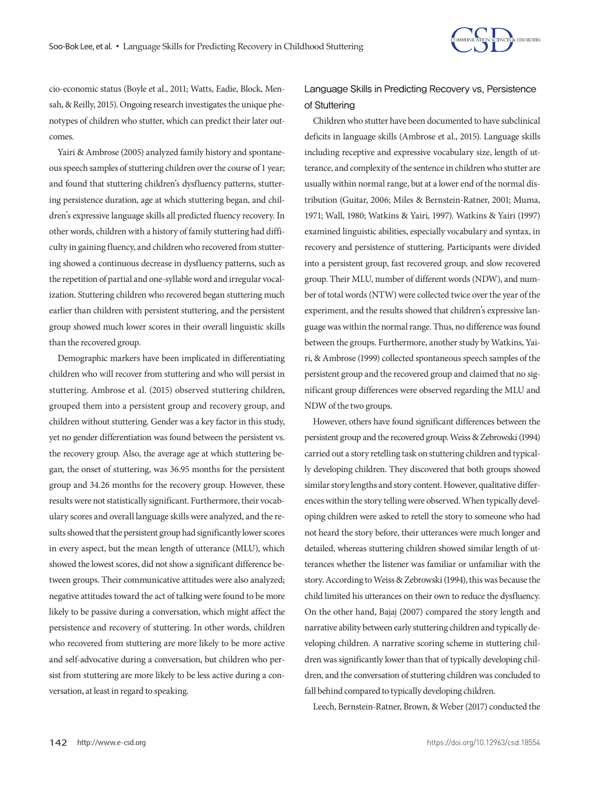

cio-economic status (Boyle et al., 2011; Watts, Eadie, Block, Mensah, & Reilly, 2015). Ongoing research investigates the unique phenotypes of children who stutter, which can predict their later outcomes.

Yairi & Ambrose (2005) analyzed family history and spontaneous speech samples of stuttering children over the course of 1 year; and found that stuttering children's dysfluency patterns, stuttering persistence duration, age at which stuttering began, and children's expressive language skills all predicted fluency recovery. In other words, children with a history of family stuttering had difficulty in gaining fluency, and children who recovered from stuttering showed a continuous decrease in dysfluency patterns, such as the repetition of partial and one-syllable word and irregular vocalization. Stuttering children who recovered began stuttering much earlier than children with persistent stuttering, and the persistent group showed much lower scores in their overall linguistic skills than the recovered group.

Demographic markers have been implicated in differentiating children who will recover from stuttering and who will persist in stuttering. Ambrose et al. (2015) observed stuttering children, grouped them into a persistent group and recovery group, and children without stuttering. Gender was a key factor in this study, yet no gender differentiation was found between the persistent vs. the recovery group. Also, the average age at which stuttering began, the onset of stuttering, was 36.95 months for the persistent group and 34.26 months for the recovery group. However, these results were not statistically significant. Furthermore, their vocabulary scores and overall language skills were analyzed, and the results showed that the persistent group had significantly lower scores in every aspect, but the mean length of utterance (MLU), which showed the lowest scores, did not show a significant difference between groups. Their communicative attitudes were also analyzed; negative attitudes toward the act of talking were found to be more likely to be passive during a conversation, which might affect the persistence and recovery of stuttering. In other words, children who recovered from stuttering are more likely to be more active and self-advocative during a conversation, but children who persist from stuttering are more likely to be less active during a conversation, at least in regard to speaking.

# Language Skills in Predicting Recovery vs. Persistence of Stuttering

Children who stutter have been documented to have subclinical deficits in language skills (Ambrose et al., 2015). Language skills including receptive and expressive vocabulary size, length of utterance, and complexity of the sentence in children who stutter are usually within normal range, but at a lower end of the normal distribution (Guitar, 2006; Miles & Bernstein-Ratner, 2001; Muma, 1971; Wall, 1980; Watkins & Yairi, 1997). Watkins & Yairi (1997) examined linguistic abilities, especially vocabulary and syntax, in recovery and persistence of stuttering. Participants were divided into a persistent group, fast recovered group, and slow recovered group. Their MLU, number of different words (NDW), and number of total words (NTW) were collected twice over the year of the experiment, and the results showed that children's expressive language was within the normal range. Thus, no difference was found between the groups. Furthermore, another study by Watkins, Yairi, & Ambrose (1999) collected spontaneous speech samples of the persistent group and the recovered group and claimed that no significant group differences were observed regarding the MLU and NDW of the two groups.

However, others have found significant differences between the persistent group and the recovered group. Weiss & Zebrowski (1994) carried out a story retelling task on stuttering children and typically developing children. They discovered that both groups showed similar story lengths and story content. However, qualitative differences within the story telling were observed. When typically developing children were asked to retell the story to someone who had not heard the story before, their utterances were much longer and detailed, whereas stuttering children showed similar length of utterances whether the listener was familiar or unfamiliar with the story. According to Weiss & Zebrowski (1994), this was because the child limited his utterances on their own to reduce the dysfluency. On the other hand, Bajaj (2007) compared the story length and narrative ability between early stuttering children and typically developing children. A narrative scoring scheme in stuttering children was significantly lower than that of typically developing children, and the conversation of stuttering children was concluded to fall behind compared to typically developing children.

Leech, Bernstein-Ratner, Brown, & Weber (2017) conducted the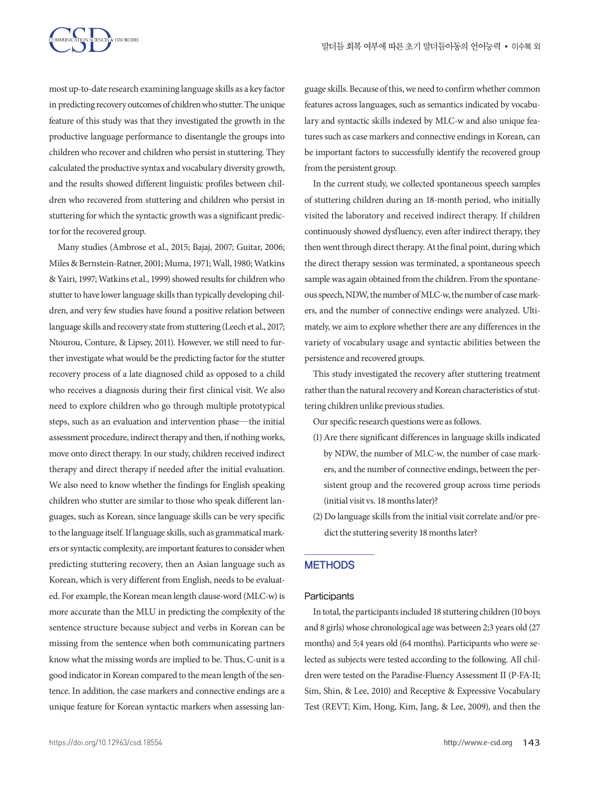

most up-to-date research examining language skills as a key factor in predicting recovery outcomes of children who stutter. The unique feature of this study was that they investigated the growth in the productive language performance to disentangle the groups into children who recover and children who persist in stuttering. They calculated the productive syntax and vocabulary diversity growth, and the results showed different linguistic profiles between children who recovered from stuttering and children who persist in stuttering for which the syntactic growth was a significant predictor for the recovered group.

Many studies (Ambrose et al., 2015; Bajaj, 2007; Guitar, 2006; Miles & Bernstein-Ratner, 2001; Muma, 1971; Wall, 1980; Watkins & Yairi, 1997; Watkins et al., 1999) showed results for children who stutter to have lower language skills than typically developing children, and very few studies have found a positive relation between language skills and recovery state from stuttering (Leech et al., 2017; Ntourou, Conture, & Lipsey, 2011). However, we still need to further investigate what would be the predicting factor for the stutter recovery process of a late diagnosed child as opposed to a child who receives a diagnosis during their first clinical visit. We also need to explore children who go through multiple prototypical steps, such as an evaluation and intervention phase—the initial assessment procedure, indirect therapy and then, if nothing works, move onto direct therapy. In our study, children received indirect therapy and direct therapy if needed after the initial evaluation. We also need to know whether the findings for English speaking children who stutter are similar to those who speak different languages, such as Korean, since language skills can be very specific to the language itself. If language skills, such as grammatical markers or syntactic complexity, are important features to consider when predicting stuttering recovery, then an Asian language such as Korean, which is very different from English, needs to be evaluated. For example, the Korean mean length clause-word (MLC-w) is more accurate than the MLU in predicting the complexity of the sentence structure because subject and verbs in Korean can be missing from the sentence when both communicating partners know what the missing words are implied to be. Thus, C-unit is a good indicator in Korean compared to the mean length of the sentence. In addition, the case markers and connective endings are a unique feature for Korean syntactic markers when assessing language skills. Because of this, we need to confirm whether common features across languages, such as semantics indicated by vocabulary and syntactic skills indexed by MLC-w and also unique features such as case markers and connective endings in Korean, can be important factors to successfully identify the recovered group from the persistent group.

In the current study, we collected spontaneous speech samples of stuttering children during an 18-month period, who initially visited the laboratory and received indirect therapy. If children continuously showed dysfluency, even after indirect therapy, they then went through direct therapy. At the final point, during which the direct therapy session was terminated, a spontaneous speech sample was again obtained from the children. From the spontaneous speech, NDW, the number of MLC-w, the number of case markers, and the number of connective endings were analyzed. Ultimately, we aim to explore whether there are any differences in the variety of vocabulary usage and syntactic abilities between the persistence and recovered groups.

This study investigated the recovery after stuttering treatment rather than the natural recovery and Korean characteristics of stuttering children unlike previous studies.

Our specific research questions were as follows.

- (1) Are there significant differences in language skills indicated by NDW, the number of MLC-w, the number of case markers, and the number of connective endings, between the persistent group and the recovered group across time periods (initial visit vs. 18 months later)?
- (2) Do language skills from the initial visit correlate and/or predict the stuttering severity 18 months later?

#### **METHODS**

#### **Participants**

In total, the participants included 18 stuttering children (10 boys and 8 girls) whose chronological age was between 2;3 years old (27 months) and 5;4 years old (64 months). Participants who were selected as subjects were tested according to the following. All children were tested on the Paradise-Fluency Assessment II (P-FA-II; Sim, Shin, & Lee, 2010) and Receptive & Expressive Vocabulary Test (REVT; Kim, Hong, Kim, Jang, & Lee, 2009), and then the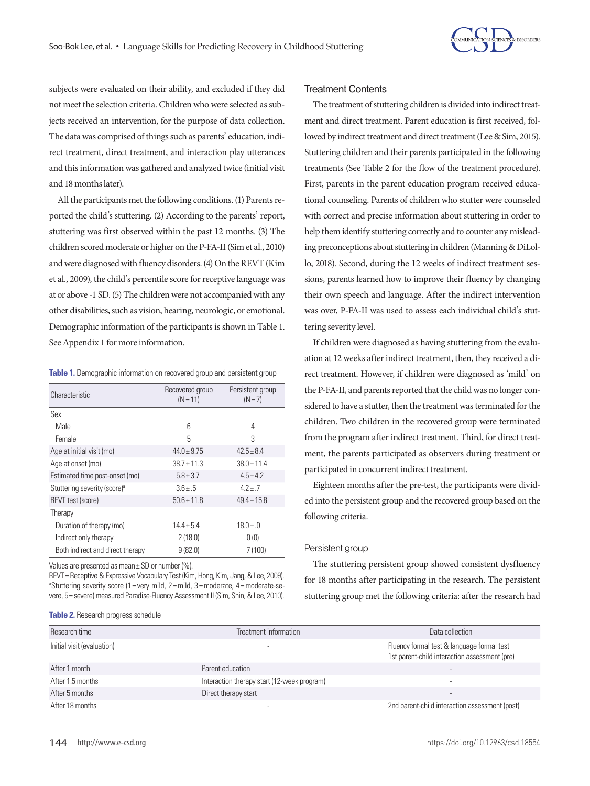

subjects were evaluated on their ability, and excluded if they did not meet the selection criteria. Children who were selected as subjects received an intervention, for the purpose of data collection. The data was comprised of things such as parents' education, indirect treatment, direct treatment, and interaction play utterances and this information was gathered and analyzed twice (initial visit and 18 months later).

All the participants met the following conditions. (1) Parents reported the child's stuttering. (2) According to the parents' report, stuttering was first observed within the past 12 months. (3) The children scored moderate or higher on the P-FA-II (Sim et al., 2010) and were diagnosed with fluency disorders. (4) On the REVT (Kim et al., 2009), the child's percentile score for receptive language was at or above -1 SD. (5) The children were not accompanied with any other disabilities, such as vision, hearing, neurologic, or emotional. Demographic information of the participants is shown in Table 1. See Appendix 1 for more information.

**Table 1.** Demographic information on recovered group and persistent group

| Characteristic                           | Recovered group<br>$(N = 11)$ | Persistent group<br>$(N=7)$ |  |  |  |
|------------------------------------------|-------------------------------|-----------------------------|--|--|--|
| Sex                                      |                               |                             |  |  |  |
| Male                                     | 6                             | 4                           |  |  |  |
| Female                                   | 5                             | 3                           |  |  |  |
| Age at initial visit (mo)                | $44.0 + 9.75$                 | $42.5 + 8.4$                |  |  |  |
| Age at onset (mo)                        | $38.7 + 11.3$                 | $38.0 \pm 11.4$             |  |  |  |
| Estimated time post-onset (mo)           | $5.8 + 3.7$                   | $4.5 + 4.2$                 |  |  |  |
| Stuttering severity (score) <sup>a</sup> | $3.6 + .5$                    | $47+7$                      |  |  |  |
| <b>REVT</b> test (score)                 | $50.6 + 11.8$                 | $49.4 \pm 15.8$             |  |  |  |
| Therapy                                  |                               |                             |  |  |  |
| Duration of therapy (mo)                 | $14.4 + 5.4$                  | $18.0 + .0$                 |  |  |  |
| Indirect only therapy                    | 2(18.0)                       | 0(0)                        |  |  |  |
| Both indirect and direct therapy         | 9(82.0)                       | 7(100)                      |  |  |  |
|                                          |                               |                             |  |  |  |

Values are presented as mean $\pm$  SD or number (%).

REVT = Receptive & Expressive Vocabulary Test (Kim, Hong, Kim, Jang, & Lee, 2009). <sup>a</sup>Stuttering severity score (1 = very mild, 2 = mild, 3 = moderate, 4 = moderate-severe, 5= severe) measured Paradise-Fluency Assessment II (Sim, Shin, & Lee, 2010).

#### **Table 2.** Research progress schedule

#### Treatment Contents

The treatment of stuttering children is divided into indirect treatment and direct treatment. Parent education is first received, followed by indirect treatment and direct treatment (Lee & Sim, 2015). Stuttering children and their parents participated in the following treatments (See Table 2 for the flow of the treatment procedure). First, parents in the parent education program received educational counseling. Parents of children who stutter were counseled with correct and precise information about stuttering in order to help them identify stuttering correctly and to counter any misleading preconceptions about stuttering in children (Manning & DiLollo, 2018). Second, during the 12 weeks of indirect treatment sessions, parents learned how to improve their fluency by changing their own speech and language. After the indirect intervention was over, P-FA-II was used to assess each individual child's stuttering severity level.

If children were diagnosed as having stuttering from the evaluation at 12 weeks after indirect treatment, then, they received a direct treatment. However, if children were diagnosed as 'mild' on the P-FA-II, and parents reported that the child was no longer considered to have a stutter, then the treatment was terminated for the children. Two children in the recovered group were terminated from the program after indirect treatment. Third, for direct treatment, the parents participated as observers during treatment or participated in concurrent indirect treatment.

Eighteen months after the pre-test, the participants were divided into the persistent group and the recovered group based on the following criteria.

#### Persistent group

The stuttering persistent group showed consistent dysfluency for 18 months after participating in the research. The persistent stuttering group met the following criteria: after the research had

| Research time              | Treatment information                       | Data collection                                                                             |
|----------------------------|---------------------------------------------|---------------------------------------------------------------------------------------------|
| Initial visit (evaluation) |                                             | Fluency formal test & language formal test<br>1st parent-child interaction assessment (pre) |
| After 1 month              | Parent education                            |                                                                                             |
| After 1.5 months           | Interaction therapy start (12-week program) |                                                                                             |
| After 5 months             | Direct therapy start                        |                                                                                             |
| After 18 months            |                                             | 2nd parent-child interaction assessment (post)                                              |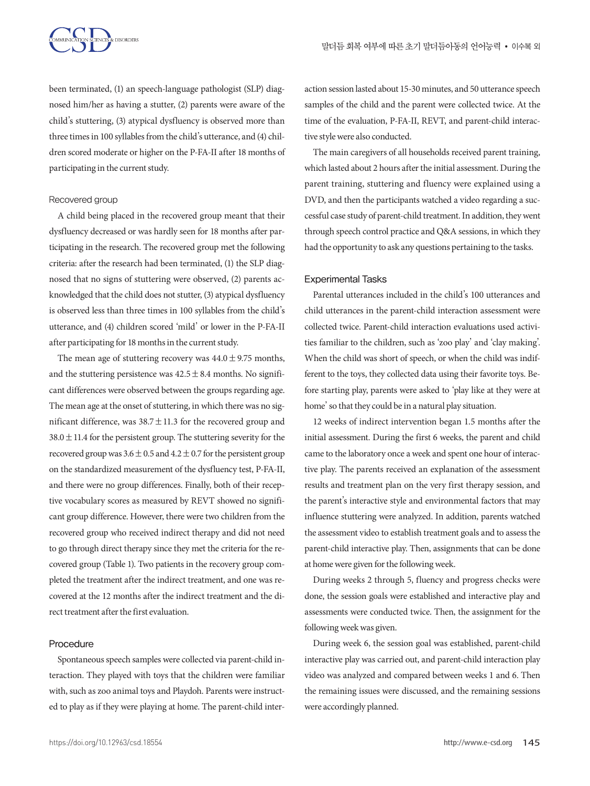been terminated, (1) an speech-language pathologist (SLP) diagnosed him/her as having a stutter, (2) parents were aware of the child's stuttering, (3) atypical dysfluency is observed more than three times in 100 syllables from the child's utterance, and (4) children scored moderate or higher on the P-FA-II after 18 months of participating in the current study.

#### Recovered group

A child being placed in the recovered group meant that their dysfluency decreased or was hardly seen for 18 months after participating in the research. The recovered group met the following criteria: after the research had been terminated, (1) the SLP diagnosed that no signs of stuttering were observed, (2) parents acknowledged that the child does not stutter, (3) atypical dysfluency is observed less than three times in 100 syllables from the child's utterance, and (4) children scored 'mild' or lower in the P-FA-II after participating for 18 months in the current study.

The mean age of stuttering recovery was  $44.0 \pm 9.75$  months, and the stuttering persistence was  $42.5 \pm 8.4$  months. No significant differences were observed between the groups regarding age. The mean age at the onset of stuttering, in which there was no significant difference, was  $38.7 \pm 11.3$  for the recovered group and  $38.0 \pm 11.4$  for the persistent group. The stuttering severity for the recovered group was  $3.6 \pm 0.5$  and  $4.2 \pm 0.7$  for the persistent group on the standardized measurement of the dysfluency test, P-FA-II, and there were no group differences. Finally, both of their receptive vocabulary scores as measured by REVT showed no significant group difference. However, there were two children from the recovered group who received indirect therapy and did not need to go through direct therapy since they met the criteria for the recovered group (Table 1). Two patients in the recovery group completed the treatment after the indirect treatment, and one was recovered at the 12 months after the indirect treatment and the direct treatment after the first evaluation.

#### Procedure

Spontaneous speech samples were collected via parent-child interaction. They played with toys that the children were familiar with, such as zoo animal toys and Playdoh. Parents were instructed to play as if they were playing at home. The parent-child interaction session lasted about 15-30 minutes, and 50 utterance speech samples of the child and the parent were collected twice. At the time of the evaluation, P-FA-II, REVT, and parent-child interactive style were also conducted.

The main caregivers of all households received parent training, which lasted about 2 hours after the initial assessment. During the parent training, stuttering and fluency were explained using a DVD, and then the participants watched a video regarding a successful case study of parent-child treatment. In addition, they went through speech control practice and Q&A sessions, in which they had the opportunity to ask any questions pertaining to the tasks.

#### Experimental Tasks

Parental utterances included in the child's 100 utterances and child utterances in the parent-child interaction assessment were collected twice. Parent-child interaction evaluations used activities familiar to the children, such as 'zoo play' and 'clay making'. When the child was short of speech, or when the child was indifferent to the toys, they collected data using their favorite toys. Before starting play, parents were asked to 'play like at they were at home' so that they could be in a natural play situation.

12 weeks of indirect intervention began 1.5 months after the initial assessment. During the first 6 weeks, the parent and child came to the laboratory once a week and spent one hour of interactive play. The parents received an explanation of the assessment results and treatment plan on the very first therapy session, and the parent's interactive style and environmental factors that may influence stuttering were analyzed. In addition, parents watched the assessment video to establish treatment goals and to assess the parent-child interactive play. Then, assignments that can be done at home were given for the following week.

During weeks 2 through 5, fluency and progress checks were done, the session goals were established and interactive play and assessments were conducted twice. Then, the assignment for the following week was given.

During week 6, the session goal was established, parent-child interactive play was carried out, and parent-child interaction play video was analyzed and compared between weeks 1 and 6. Then the remaining issues were discussed, and the remaining sessions were accordingly planned.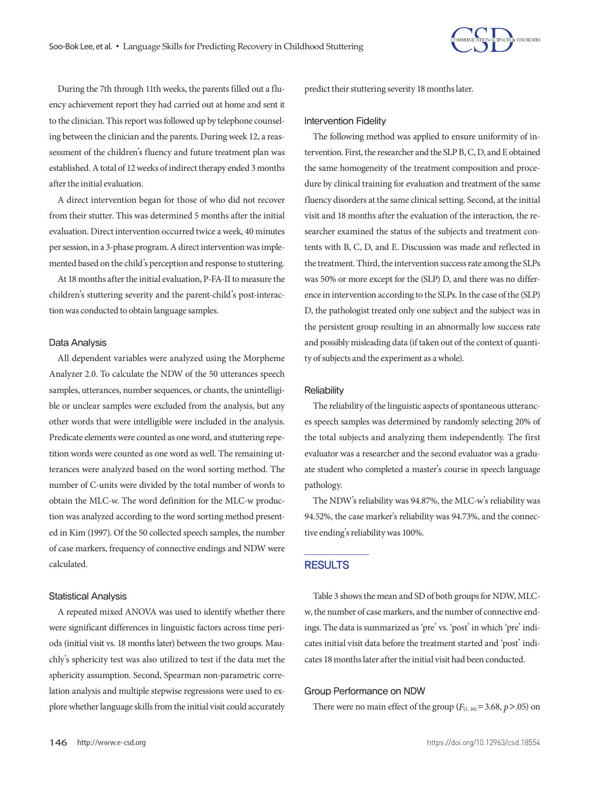

During the 7th through 11th weeks, the parents filled out a fluency achievement report they had carried out at home and sent it to the clinician. This report was followed up by telephone counseling between the clinician and the parents. During week 12, a reassessment of the children's fluency and future treatment plan was established. A total of 12 weeks of indirect therapy ended 3 months after the initial evaluation.

A direct intervention began for those of who did not recover from their stutter. This was determined 5 months after the initial evaluation. Direct intervention occurred twice a week, 40 minutes per session, in a 3-phase program. A direct intervention was implemented based on the child's perception and response to stuttering.

At 18 months after the initial evaluation, P-FA-II to measure the children's stuttering severity and the parent-child's post-interaction was conducted to obtain language samples.

#### Data Analysis

All dependent variables were analyzed using the Morpheme Analyzer 2.0. To calculate the NDW of the 50 utterances speech samples, utterances, number sequences, or chants, the unintelligible or unclear samples were excluded from the analysis, but any other words that were intelligible were included in the analysis. Predicate elements were counted as one word, and stuttering repetition words were counted as one word as well. The remaining utterances were analyzed based on the word sorting method. The number of C-units were divided by the total number of words to obtain the MLC-w. The word definition for the MLC-w production was analyzed according to the word sorting method presented in Kim (1997). Of the 50 collected speech samples, the number of case markers, frequency of connective endings and NDW were calculated.

#### Statistical Analysis

A repeated mixed ANOVA was used to identify whether there were significant differences in linguistic factors across time periods (initial visit vs. 18 months later) between the two groups. Mauchly's sphericity test was also utilized to test if the data met the sphericity assumption. Second, Spearman non-parametric correlation analysis and multiple stepwise regressions were used to explore whether language skills from the initial visit could accurately predict their stuttering severity 18 months later.

#### Intervention Fidelity

The following method was applied to ensure uniformity of intervention. First, the researcher and the SLP B, C, D, and E obtained the same homogeneity of the treatment composition and procedure by clinical training for evaluation and treatment of the same fluency disorders at the same clinical setting. Second, at the initial visit and 18 months after the evaluation of the interaction, the researcher examined the status of the subjects and treatment contents with B, C, D, and E. Discussion was made and reflected in the treatment. Third, the intervention success rate among the SLPs was 50% or more except for the (SLP) D, and there was no difference in intervention according to the SLPs. In the case of the (SLP) D, the pathologist treated only one subject and the subject was in the persistent group resulting in an abnormally low success rate and possibly misleading data (if taken out of the context of quantity of subjects and the experiment as a whole).

#### **Reliability**

The reliability of the linguistic aspects of spontaneous utterances speech samples was determined by randomly selecting 20% of the total subjects and analyzing them independently. The first evaluator was a researcher and the second evaluator was a graduate student who completed a master's course in speech language pathology.

The NDW's reliability was 94.87%, the MLC-w's reliability was 94.52%, the case marker's reliability was 94.73%, and the connective ending's reliability was 100%.

#### **RESULTS**

Table 3 shows the mean and SD of both groups for NDW, MLCw, the number of case markers, and the number of connective endings. The data is summarized as 'pre' vs. 'post' in which 'pre' indicates initial visit data before the treatment started and 'post' indicates 18 months later after the initial visit had been conducted.

#### Group Performance on NDW

There were no main effect of the group  $(F<sub>(1, 16)</sub> = 3.68, p > .05)$  on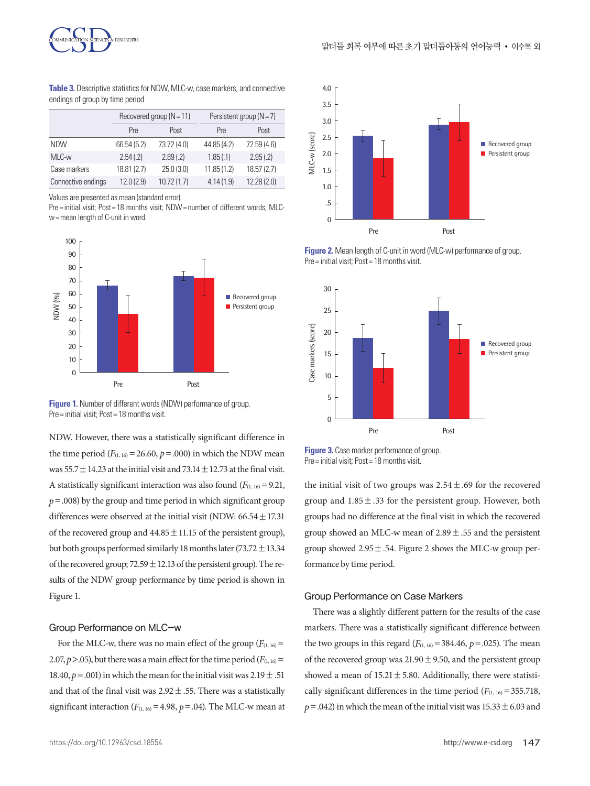



**Table 3.** Descriptive statistics for NDW, MLC-w, case markers, and connective endings of group by time period

|                    |                    | Recovered group $(N = 11)$ | Persistent group ( $N = 7$ ) |             |  |  |  |  |  |  |
|--------------------|--------------------|----------------------------|------------------------------|-------------|--|--|--|--|--|--|
|                    | Post<br><b>Pre</b> |                            | <b>Pre</b>                   | Post        |  |  |  |  |  |  |
| <b>NDW</b>         | 66.54 (5.2)        | 73.72 (4.0)                | 44.85 (4.2)                  | 72.59 (4.6) |  |  |  |  |  |  |
| MLC-w              | 2.54(.2)           | 2.89(.2)                   | 1.85(.1)                     | 2.95(.2)    |  |  |  |  |  |  |
| Case markers       | 18.81 (2.7)        | 25.0(3.0)                  |                              | 18.57(2.7)  |  |  |  |  |  |  |
| Connective endings | 12.0(2.9)          | 10.72(1.7)                 | 4.14(1.9)                    | 12.28(2.0)  |  |  |  |  |  |  |

Values are presented as mean (standard error).

Pre= initial visit; Post= 18 months visit; NDW= number of different words; MLCw= mean length of C-unit in word.





NDW. However, there was a statistically significant difference in the time period  $(F_{(1, 16)} = 26.60, p = .000)$  in which the NDW mean was 55.7  $\pm$  14.23 at the initial visit and 73.14  $\pm$  12.73 at the final visit. A statistically significant interaction was also found  $(F<sub>(1, 16)</sub> = 9.21)$ ,  $p = .008$ ) by the group and time period in which significant group differences were observed at the initial visit (NDW:  $66.54 \pm 17.31$ ) of the recovered group and  $44.85 \pm 11.15$  of the persistent group), but both groups performed similarly 18 months later (73.72  $\pm$  13.34 of the recovered group;  $72.59 \pm 12.13$  of the persistent group). The results of the NDW group performance by time period is shown in Figure 1.

#### Group Performance on MLC-w

For the MLC-w, there was no main effect of the group  $(F<sub>(1, 16)</sub> =$ 2.07,  $p > 0.05$ ), but there was a main effect for the time period ( $F_{(1, 16)} =$ 18.40,  $p = .001$ ) in which the mean for the initial visit was  $2.19 \pm .51$ and that of the final visit was  $2.92 \pm .55$ . There was a statistically significant interaction  $(F_{(1, 16)} = 4.98, p = .04)$ . The MLC-w mean at







**Figure 3.** Case marker performance of group. Pre= initial visit; Post= 18 months visit.

the initial visit of two groups was  $2.54 \pm .69$  for the recovered group and  $1.85 \pm .33$  for the persistent group. However, both groups had no difference at the final visit in which the recovered group showed an MLC-w mean of  $2.89 \pm .55$  and the persistent group showed  $2.95 \pm .54$ . Figure 2 shows the MLC-w group performance by time period.

#### Group Performance on Case Markers

There was a slightly different pattern for the results of the case markers. There was a statistically significant difference between the two groups in this regard  $(F_{(1, 16)} = 384.46, p = .025)$ . The mean of the recovered group was  $21.90 \pm 9.50$ , and the persistent group showed a mean of  $15.21 \pm 5.80$ . Additionally, there were statistically significant differences in the time period  $(F_{(1, 16)} = 355.718$ ,  $p = .042$ ) in which the mean of the initial visit was  $15.33 \pm 6.03$  and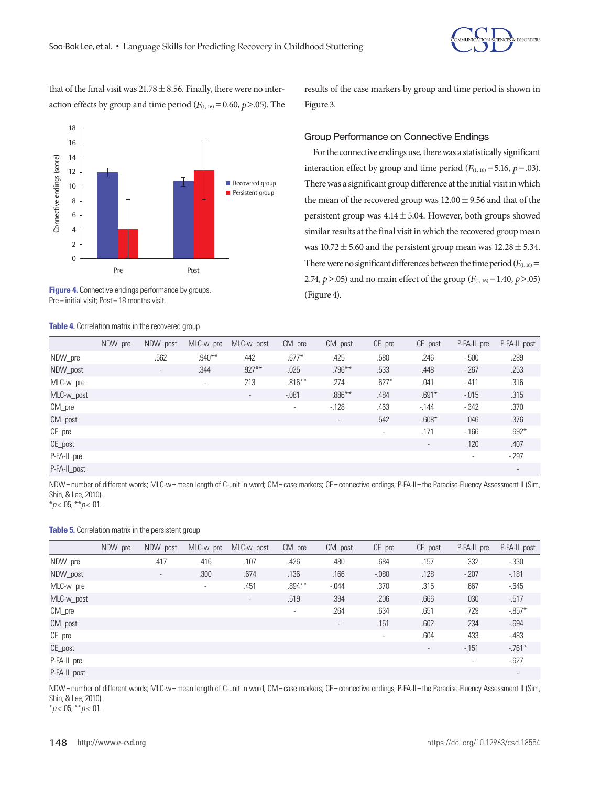Recovered group **Persistent group** 



that of the final visit was  $21.78 \pm 8.56$ . Finally, there were no interaction effects by group and time period  $(F_{(1, 16)} = 0.60, p > .05)$ . The

Pre Post

results of the case markers by group and time period is shown in Figure 3.

# Group Performance on Connective Endings

For the connective endings use, there was a statistically significant interaction effect by group and time period  $(F_{(1, 16)} = 5.16, p = .03)$ . There was a significant group difference at the initial visit in which the mean of the recovered group was  $12.00 \pm 9.56$  and that of the persistent group was  $4.14 \pm 5.04$ . However, both groups showed similar results at the final visit in which the recovered group mean was  $10.72 \pm 5.60$  and the persistent group mean was  $12.28 \pm 5.34$ . There were no significant differences between the time period  $(F<sub>(1, 16)</sub>$ 2.74,  $p$  > .05) and no main effect of the group ( $F_{(1, 16)}$  = 1.40,  $p$  > .05) **Figure 4.** Connective endings performance by groups. (Figure 4). (Figure 4).

|              | NDW pre | NDW_post                 | MLC-w_pre | MLC-w_post | $CM_{pre}$ | CM_post                  | $CE$ pre                 | CE_post                  | P-FA-II pre | P-FA-II_post |
|--------------|---------|--------------------------|-----------|------------|------------|--------------------------|--------------------------|--------------------------|-------------|--------------|
| NDW_pre      |         | .562                     | $.940***$ | .442       | $.677*$    | .425                     | .580                     | .246                     | $-.500$     | .289         |
| NDW_post     |         | $\overline{\phantom{a}}$ | .344      | $.927***$  | .025       | $.796***$                | .533                     | .448                     | $-267$      | .253         |
| MLC-w_pre    |         |                          | ٠         | .213       | $.816***$  | .274                     | $.627*$                  | .041                     | $-.411$     | .316         |
| MLC-w_post   |         |                          |           | $\sim$     | $-.081$    | $.886***$                | .484                     | $.691*$                  | $-0.015$    | .315         |
| CM_pre       |         |                          |           |            | ٠          | $-128$                   | .463                     | $-144$                   | $-342$      | .370         |
| CM_post      |         |                          |           |            |            | $\overline{\phantom{a}}$ | .542                     | $.608*$                  | .046        | .376         |
| $CE$ pre     |         |                          |           |            |            |                          | $\overline{\phantom{a}}$ | .171                     | $-166$      | $.692*$      |
| CE_post      |         |                          |           |            |            |                          |                          | $\overline{\phantom{a}}$ | .120        | .407         |
| P-FA-II pre  |         |                          |           |            |            |                          |                          |                          | ۰.          | $-297$       |
| P-FA-II_post |         |                          |           |            |            |                          |                          |                          |             | $\sim$       |

NDW = number of different words; MLC-w= mean length of C-unit in word; CM = case markers; CE = connective endings; P-FA-II = the Paradise-Fluency Assessment II (Sim, Shin, & Lee, 2010).

\**p* < .05, \*\**p* < .01.

#### **Table 5.** Correlation matrix in the persistent group

Pre= initial visit; Post= 18 months visit.

**Table 4.** Correlation matrix in the recovered group

Connective endings (score)

Connective endings (score)

|              | NDW pre | NDW_post                 | MLC-w_pre | MLC-w_post               | $CM_{pre}$               | $CM$ post                | $CE\_pre$ | CE_post | P-FA-II pre              | P-FA-II_post             |
|--------------|---------|--------------------------|-----------|--------------------------|--------------------------|--------------------------|-----------|---------|--------------------------|--------------------------|
| NDW_pre      |         | .417                     | .416      | .107                     | .426                     | .480                     | .684      | .157    | .332                     | $-0.330$                 |
| NDW_post     |         | $\overline{\phantom{a}}$ | .300      | .674                     | .136                     | .166                     | $-.080$   | .128    | $-207$                   | $-181$                   |
| MLC-w_pre    |         |                          | $\sim$    | .451                     | $.894***$                | $-0.044$                 | .370      | .315    | .667                     | $-645$                   |
| MLC-w_post   |         |                          |           | $\overline{\phantom{a}}$ | .519                     | .394                     | .206      | .666    | .030                     | $-517$                   |
| $CM_{pre}$   |         |                          |           |                          | $\overline{\phantom{a}}$ | .264                     | .634      | .651    | .729                     | $-0.857*$                |
| CM_post      |         |                          |           |                          |                          | $\overline{\phantom{a}}$ | .151      | .602    | .234                     | $-694$                   |
| $CE$ pre     |         |                          |           |                          |                          |                          | $\sim$    | .604    | .433                     | $-483$                   |
| CE_post      |         |                          |           |                          |                          |                          |           | $\sim$  | $-151$                   | $-761*$                  |
| P-FA-II_pre  |         |                          |           |                          |                          |                          |           |         | $\overline{\phantom{a}}$ | $-627$                   |
| P-FA-II_post |         |                          |           |                          |                          |                          |           |         |                          | $\overline{\phantom{a}}$ |

NDW= number of different words; MLC-w= mean length of C-unit in word; CM= case markers; CE= connective endings; P-FA-II= the Paradise-Fluency Assessment II (Sim, Shin, & Lee, 2010).

\**p* < .05, \*\**p* < .01.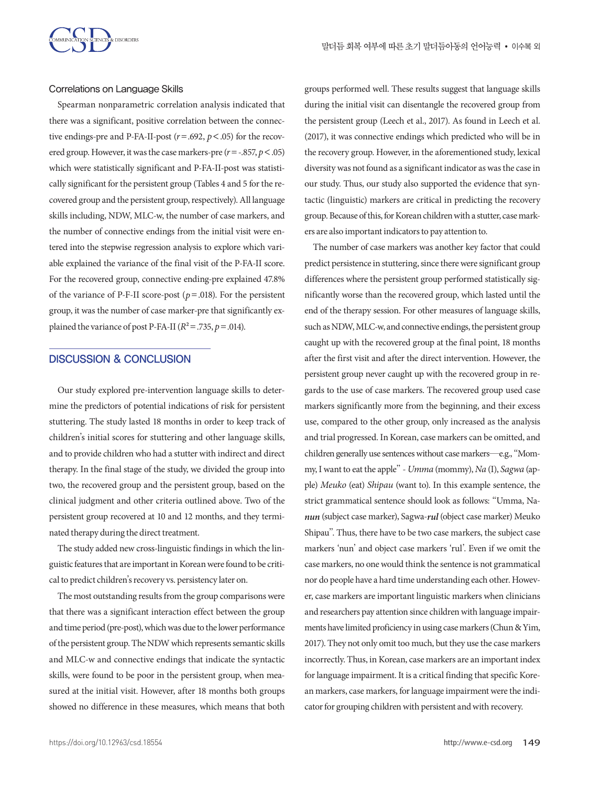

#### Correlations on Language Skills

Spearman nonparametric correlation analysis indicated that there was a significant, positive correlation between the connective endings-pre and P-FA-II-post  $(r=.692, p<.05)$  for the recovered group. However, it was the case markers-pre (*r*=-.857, *p*<.05) which were statistically significant and P-FA-II-post was statistically significant for the persistent group (Tables 4 and 5 for the recovered group and the persistent group, respectively). All language skills including, NDW, MLC-w, the number of case markers, and the number of connective endings from the initial visit were entered into the stepwise regression analysis to explore which variable explained the variance of the final visit of the P-FA-II score. For the recovered group, connective ending-pre explained 47.8% of the variance of P-F-II score-post ( $p = .018$ ). For the persistent group, it was the number of case marker-pre that significantly explained the variance of post P-FA-II ( $R^2 = .735$ ,  $p = .014$ ).

### DISCUSSION & CONCLUSION

Our study explored pre-intervention language skills to determine the predictors of potential indications of risk for persistent stuttering. The study lasted 18 months in order to keep track of children's initial scores for stuttering and other language skills, and to provide children who had a stutter with indirect and direct therapy. In the final stage of the study, we divided the group into two, the recovered group and the persistent group, based on the clinical judgment and other criteria outlined above. Two of the persistent group recovered at 10 and 12 months, and they terminated therapy during the direct treatment.

The study added new cross-linguistic findings in which the linguistic features that are important in Korean were found to be critical to predict children's recovery vs. persistency later on.

The most outstanding results from the group comparisons were that there was a significant interaction effect between the group and time period (pre-post), which was due to the lower performance of the persistent group. The NDW which represents semantic skills and MLC-w and connective endings that indicate the syntactic skills, were found to be poor in the persistent group, when measured at the initial visit. However, after 18 months both groups showed no difference in these measures, which means that both

groups performed well. These results suggest that language skills during the initial visit can disentangle the recovered group from the persistent group (Leech et al., 2017). As found in Leech et al. (2017), it was connective endings which predicted who will be in the recovery group. However, in the aforementioned study, lexical diversity was not found as a significant indicator as was the case in our study. Thus, our study also supported the evidence that syntactic (linguistic) markers are critical in predicting the recovery group. Because of this, for Korean children with a stutter, case markers are also important indicators to pay attention to.

The number of case markers was another key factor that could predict persistence in stuttering, since there were significant group differences where the persistent group performed statistically significantly worse than the recovered group, which lasted until the end of the therapy session. For other measures of language skills, such as NDW, MLC-w, and connective endings, the persistent group caught up with the recovered group at the final point, 18 months after the first visit and after the direct intervention. However, the persistent group never caught up with the recovered group in regards to the use of case markers. The recovered group used case markers significantly more from the beginning, and their excess use, compared to the other group, only increased as the analysis and trial progressed. In Korean, case markers can be omitted, and children generally use sentences without case markers—e.g., "Mommy, I want to eat the apple" - *Umma* (mommy), *Na* (I), *Sagwa* (apple) *Meuko* (eat) *Shipau* (want to). In this example sentence, the strict grammatical sentence should look as follows: "Umma, Na*nun* (subject case marker), Sagwa-*rul* (object case marker) Meuko Shipau". Thus, there have to be two case markers, the subject case markers 'nun' and object case markers 'rul'. Even if we omit the case markers, no one would think the sentence is not grammatical nor do people have a hard time understanding each other. However, case markers are important linguistic markers when clinicians and researchers pay attention since children with language impairments have limited proficiency in using case markers (Chun & Yim, 2017). They not only omit too much, but they use the case markers incorrectly. Thus, in Korean, case markers are an important index for language impairment. It is a critical finding that specific Korean markers, case markers, for language impairment were the indicator for grouping children with persistent and with recovery.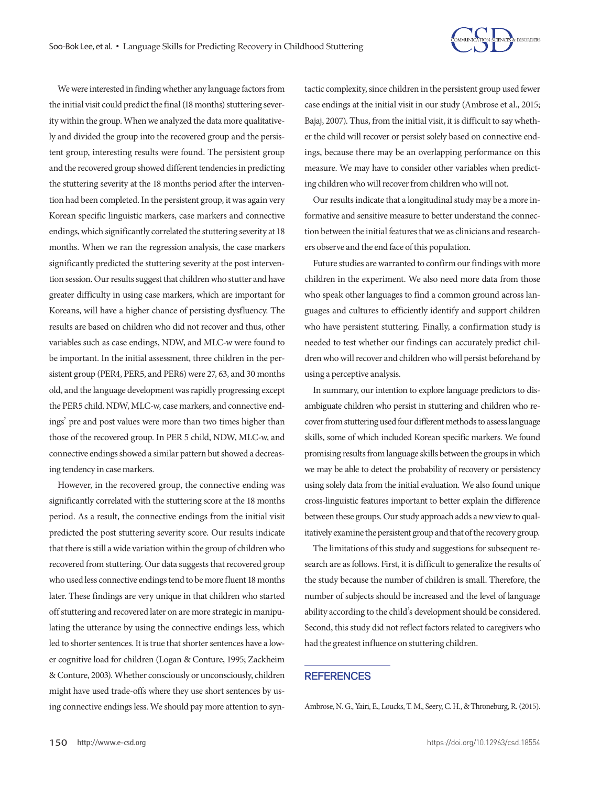

We were interested in finding whether any language factors from the initial visit could predict the final (18 months) stuttering severity within the group. When we analyzed the data more qualitatively and divided the group into the recovered group and the persistent group, interesting results were found. The persistent group and the recovered group showed different tendencies in predicting the stuttering severity at the 18 months period after the intervention had been completed. In the persistent group, it was again very Korean specific linguistic markers, case markers and connective endings, which significantly correlated the stuttering severity at 18 months. When we ran the regression analysis, the case markers significantly predicted the stuttering severity at the post intervention session. Our results suggest that children who stutter and have greater difficulty in using case markers, which are important for Koreans, will have a higher chance of persisting dysfluency. The results are based on children who did not recover and thus, other variables such as case endings, NDW, and MLC-w were found to be important. In the initial assessment, three children in the persistent group (PER4, PER5, and PER6) were 27, 63, and 30 months old, and the language development was rapidly progressing except the PER5 child. NDW, MLC-w, case markers, and connective endings' pre and post values were more than two times higher than those of the recovered group. In PER 5 child, NDW, MLC-w, and connective endings showed a similar pattern but showed a decreasing tendency in case markers.

However, in the recovered group, the connective ending was significantly correlated with the stuttering score at the 18 months period. As a result, the connective endings from the initial visit predicted the post stuttering severity score. Our results indicate that there is still a wide variation within the group of children who recovered from stuttering. Our data suggests that recovered group who used less connective endings tend to be more fluent 18 months later. These findings are very unique in that children who started off stuttering and recovered later on are more strategic in manipulating the utterance by using the connective endings less, which led to shorter sentences. It is true that shorter sentences have a lower cognitive load for children (Logan & Conture, 1995; Zackheim & Conture, 2003). Whether consciously or unconsciously, children might have used trade-offs where they use short sentences by using connective endings less. We should pay more attention to syntactic complexity, since children in the persistent group used fewer case endings at the initial visit in our study (Ambrose et al., 2015; Bajaj, 2007). Thus, from the initial visit, it is difficult to say whether the child will recover or persist solely based on connective endings, because there may be an overlapping performance on this measure. We may have to consider other variables when predicting children who will recover from children who will not.

Our results indicate that a longitudinal study may be a more informative and sensitive measure to better understand the connection between the initial features that we as clinicians and researchers observe and the end face of this population.

Future studies are warranted to confirm our findings with more children in the experiment. We also need more data from those who speak other languages to find a common ground across languages and cultures to efficiently identify and support children who have persistent stuttering. Finally, a confirmation study is needed to test whether our findings can accurately predict children who will recover and children who will persist beforehand by using a perceptive analysis.

In summary, our intention to explore language predictors to disambiguate children who persist in stuttering and children who recover from stuttering used four different methods to assess language skills, some of which included Korean specific markers. We found promising results from language skills between the groups in which we may be able to detect the probability of recovery or persistency using solely data from the initial evaluation. We also found unique cross-linguistic features important to better explain the difference between these groups. Our study approach adds a new view to qualitatively examine the persistent group and that of the recovery group.

The limitations of this study and suggestions for subsequent research are as follows. First, it is difficult to generalize the results of the study because the number of children is small. Therefore, the number of subjects should be increased and the level of language ability according to the child's development should be considered. Second, this study did not reflect factors related to caregivers who had the greatest influence on stuttering children.

# **REFERENCES**

Ambrose, N. G., Yairi, E., Loucks, T. M., Seery, C. H., & Throneburg, R. (2015).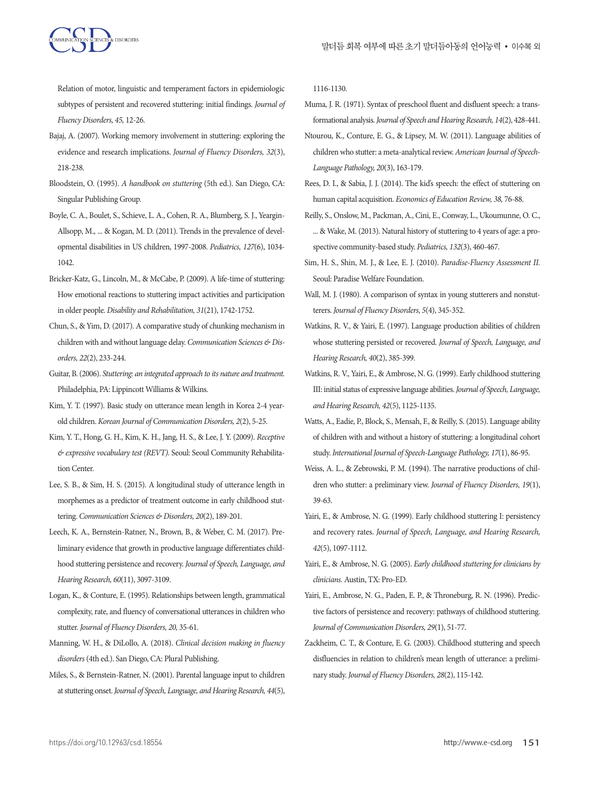

Relation of motor, linguistic and temperament factors in epidemiologic subtypes of persistent and recovered stuttering: initial findings. *Journal of Fluency Disorders, 45,* 12-26.

- Bajaj, A. (2007). Working memory involvement in stuttering: exploring the evidence and research implications. *Journal of Fluency Disorders, 32*(3), 218-238.
- Bloodstein, O. (1995). *A handbook on stuttering* (5th ed.). San Diego, CA: Singular Publishing Group.
- Boyle, C. A., Boulet, S., Schieve, L. A., Cohen, R. A., Blumberg, S. J., Yeargin-Allsopp, M., ... & Kogan, M. D. (2011). Trends in the prevalence of developmental disabilities in US children, 1997-2008. *Pediatrics, 127*(6), 1034- 1042.
- Bricker-Katz, G., Lincoln, M., & McCabe, P. (2009). A life-time of stuttering: How emotional reactions to stuttering impact activities and participation in older people. *Disability and Rehabilitation, 31*(21), 1742-1752.
- Chun, S., & Yim, D. (2017). A comparative study of chunking mechanism in children with and without language delay. *Communication Sciences & Disorders, 22*(2), 233-244.
- Guitar, B. (2006). *Stuttering: an integrated approach to its nature and treatment.*  Philadelphia, PA: Lippincott Williams & Wilkins.
- Kim, Y. T. (1997). Basic study on utterance mean length in Korea 2-4 yearold children. *Korean Journal of Communication Disorders, 2*(2), 5-25.
- Kim, Y. T., Hong, G. H., Kim, K. H., Jang, H. S., & Lee, J. Y. (2009). *Receptive & expressive vocabulary test (REVT).* Seoul: Seoul Community Rehabilitation Center.
- Lee, S. B., & Sim, H. S. (2015). A longitudinal study of utterance length in morphemes as a predictor of treatment outcome in early childhood stuttering. *Communication Sciences & Disorders, 20*(2), 189-201.
- Leech, K. A., Bernstein-Ratner, N., Brown, B., & Weber, C. M. (2017). Preliminary evidence that growth in productive language differentiates childhood stuttering persistence and recovery. *Journal of Speech, Language, and Hearing Research, 60*(11), 3097-3109.
- Logan, K., & Conture, E. (1995). Relationships between length, grammatical complexity, rate, and fluency of conversational utterances in children who stutter. *Journal of Fluency Disorders, 20,* 35-61.
- Manning, W. H., & DiLollo, A. (2018). *Clinical decision making in fluency disorders* (4th ed.). San Diego, CA: Plural Publishing.
- Miles, S., & Bernstein-Ratner, N. (2001). Parental language input to children at stuttering onset. *Journal of Speech, Language, and Hearing Research, 44*(5),

1116-1130.

- Muma, J. R. (1971). Syntax of preschool fluent and disfluent speech: a transformational analysis. *Journal of Speech and Hearing Research, 14*(2), 428-441.
- Ntourou, K., Conture, E. G., & Lipsey, M. W. (2011). Language abilities of children who stutter: a meta-analytical review. *American Journal of Speech-Language Pathology, 20*(3), 163-179.
- Rees, D. I., & Sabia, J. J. (2014). The kid's speech: the effect of stuttering on human capital acquisition. *Economics of Education Review, 38,* 76-88.
- Reilly, S., Onslow, M., Packman, A., Cini, E., Conway, L., Ukoumunne, O. C., ... & Wake, M. (2013). Natural history of stuttering to 4 years of age: a prospective community-based study. *Pediatrics, 132*(3), 460-467.
- Sim, H. S., Shin, M. J., & Lee, E. J. (2010). *Paradise-Fluency Assessment II.*  Seoul: Paradise Welfare Foundation.
- Wall, M. J. (1980). A comparison of syntax in young stutterers and nonstutterers. *Journal of Fluency Disorders, 5*(4), 345-352.
- Watkins, R. V., & Yairi, E. (1997). Language production abilities of children whose stuttering persisted or recovered. *Journal of Speech, Language, and Hearing Research, 40*(2), 385-399.
- Watkins, R. V., Yairi, E., & Ambrose, N. G. (1999). Early childhood stuttering III: initial status of expressive language abilities. *Journal of Speech, Language, and Hearing Research, 42*(5), 1125-1135.
- Watts, A., Eadie, P., Block, S., Mensah, F., & Reilly, S. (2015). Language ability of children with and without a history of stuttering: a longitudinal cohort study. *International Journal of Speech-Language Pathology, 17*(1), 86-95.
- Weiss, A. L., & Zebrowski, P. M. (1994). The narrative productions of children who stutter: a preliminary view. *Journal of Fluency Disorders, 19*(1), 39-63.
- Yairi, E., & Ambrose, N. G. (1999). Early childhood stuttering I: persistency and recovery rates. *Journal of Speech, Language, and Hearing Research, 42*(5), 1097-1112.
- Yairi, E., & Ambrose, N. G. (2005). *Early childhood stuttering for clinicians by clinicians.* Austin, TX: Pro-ED.
- Yairi, E., Ambrose, N. G., Paden, E. P., & Throneburg, R. N. (1996). Predictive factors of persistence and recovery: pathways of childhood stuttering. *Journal of Communication Disorders, 29*(1), 51-77.
- Zackheim, C. T., & Conture, E. G. (2003). Childhood stuttering and speech disfluencies in relation to children's mean length of utterance: a preliminary study. *Journal of Fluency Disorders, 28*(2), 115-142.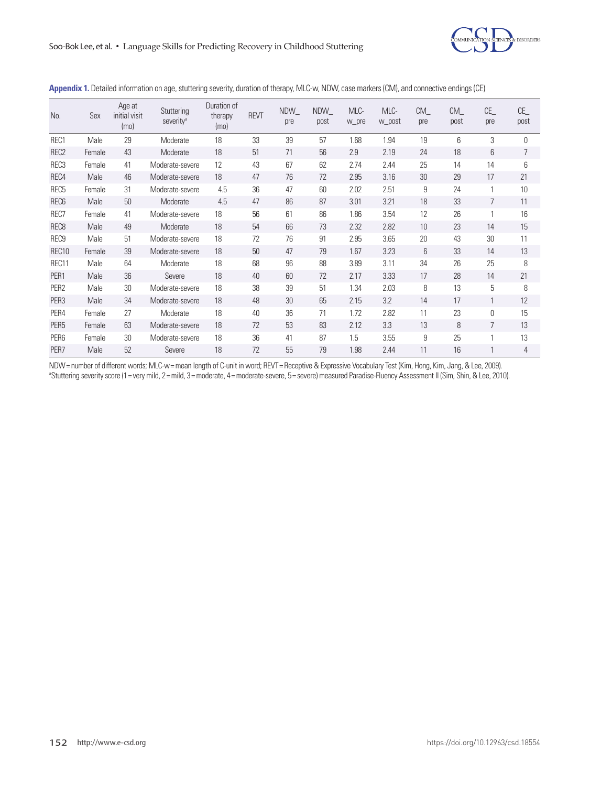

| No.               | Sex    | Age at<br>initial visit<br>(mo) | Stuttering<br>severity <sup>a</sup> | Duration of<br>therapy<br>(mo) | <b>REVT</b> | <b>NDW</b><br>pre | NDW<br>post | MLC-<br>w_pre | MLC-<br>w_post | CM<br>pre       | CM<br>post | CE<br>pre | CE<br>post |
|-------------------|--------|---------------------------------|-------------------------------------|--------------------------------|-------------|-------------------|-------------|---------------|----------------|-----------------|------------|-----------|------------|
| REC1              | Male   | 29                              | Moderate                            | 18                             | 33          | 39                | 57          | 1.68          | 1.94           | 19              | 6          | 3         | $\Omega$   |
| REC <sub>2</sub>  | Female | 43                              | Moderate                            | 18                             | 51          | 71                | 56          | 2.9           | 2.19           | 24              | 18         | 6         | 7          |
| REC <sub>3</sub>  | Female | 41                              | Moderate-severe                     | 12                             | 43          | 67                | 62          | 2.74          | 2.44           | 25              | 14         | 14        | 6          |
| REC4              | Male   | 46                              | Moderate-severe                     | 18                             | 47          | 76                | 72          | 2.95          | 3.16           | 30              | 29         | 17        | 21         |
| REC <sub>5</sub>  | Female | 31                              | Moderate-severe                     | 4.5                            | 36          | 47                | 60          | 2.02          | 2.51           | 9               | 24         | 1         | 10         |
| REC <sub>6</sub>  | Male   | 50                              | Moderate                            | 4.5                            | 47          | 86                | 87          | 3.01          | 3.21           | 18              | 33         | 7         | 11         |
| REC7              | Female | 41                              | Moderate-severe                     | 18                             | 56          | 61                | 86          | 1.86          | 3.54           | 12              | 26         | 1         | 16         |
| REC <sub>8</sub>  | Male   | 49                              | Moderate                            | 18                             | 54          | 66                | 73          | 2.32          | 2.82           | 10 <sup>1</sup> | 23         | 14        | 15         |
| REC <sub>9</sub>  | Male   | 51                              | Moderate-severe                     | 18                             | 72          | 76                | 91          | 2.95          | 3.65           | 20              | 43         | 30        | 11         |
| REC <sub>10</sub> | Female | 39                              | Moderate-severe                     | 18                             | 50          | 47                | 79          | 1.67          | 3.23           | 6               | 33         | 14        | 13         |
| REC11             | Male   | 64                              | Moderate                            | 18                             | 68          | 96                | 88          | 3.89          | 3.11           | 34              | 26         | 25        | 8          |
| PER1              | Male   | 36                              | Severe                              | 18                             | 40          | 60                | 72          | 2.17          | 3.33           | 17              | 28         | 14        | 21         |
| PER <sub>2</sub>  | Male   | 30                              | Moderate-severe                     | 18                             | 38          | 39                | 51          | 1.34          | 2.03           | 8               | 13         | 5         | 8          |
| PER <sub>3</sub>  | Male   | 34                              | Moderate-severe                     | 18                             | 48          | 30                | 65          | 2.15          | 3.2            | 14              | 17         | 1         | 12         |
| PER4              | Female | 27                              | Moderate                            | 18                             | 40          | 36                | 71          | 1.72          | 2.82           | 11              | 23         | $\theta$  | 15         |
| PER <sub>5</sub>  | Female | 63                              | Moderate-severe                     | 18                             | 72          | 53                | 83          | 2.12          | 3.3            | 13              | 8          | 7         | 13         |
| PER <sub>6</sub>  | Female | 30                              | Moderate-severe                     | 18                             | 36          | 41                | 87          | 1.5           | 3.55           | 9               | 25         | 1         | 13         |
| PER7              | Male   | 52                              | Severe                              | 18                             | 72          | 55                | 79          | 1.98          | 2.44           | 11              | 16         | 1         | 4          |

**Appendix 1.** Detailed information on age, stuttering severity, duration of therapy, MLC-w, NDW, case markers (CM), and connective endings (CE)

NDW= number of different words; MLC-w= mean length of C-unit in word; REVT= Receptive & Expressive Vocabulary Test (Kim, Hong, Kim, Jang, & Lee, 2009). a Stuttering severity score (1= very mild, 2= mild, 3= moderate, 4= moderate-severe, 5= severe) measured Paradise-Fluency Assessment II (Sim, Shin, & Lee, 2010).